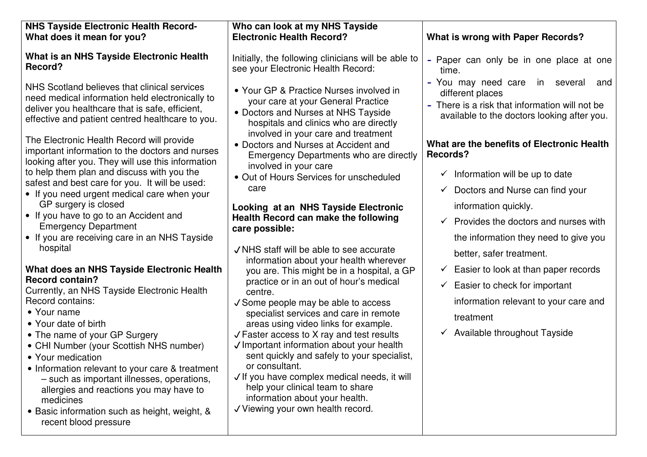| <b>NHS Tayside Electronic Health Record-</b><br>What does it mean for you?                                                                                                                                                                                                                                                                                                                                                                                                                                                                                                                                                                                                                                                                                                                                                                                                                                                                                                                                                                                                                                                                                                                     | Who can look at my NHS Tayside<br><b>Electronic Health Record?</b>                                                                                                                                                                                                                                                                                                                                                                                                                                                                                                                                                                                                                                                                                                                                                                                                                                                                                                                                                                                                                                                                | <b>What is wrong with Paper Records?</b>                                                                                                                                                                                                                                                                                                                                                                                                                                                                                                                                                                                                                                                 |
|------------------------------------------------------------------------------------------------------------------------------------------------------------------------------------------------------------------------------------------------------------------------------------------------------------------------------------------------------------------------------------------------------------------------------------------------------------------------------------------------------------------------------------------------------------------------------------------------------------------------------------------------------------------------------------------------------------------------------------------------------------------------------------------------------------------------------------------------------------------------------------------------------------------------------------------------------------------------------------------------------------------------------------------------------------------------------------------------------------------------------------------------------------------------------------------------|-----------------------------------------------------------------------------------------------------------------------------------------------------------------------------------------------------------------------------------------------------------------------------------------------------------------------------------------------------------------------------------------------------------------------------------------------------------------------------------------------------------------------------------------------------------------------------------------------------------------------------------------------------------------------------------------------------------------------------------------------------------------------------------------------------------------------------------------------------------------------------------------------------------------------------------------------------------------------------------------------------------------------------------------------------------------------------------------------------------------------------------|------------------------------------------------------------------------------------------------------------------------------------------------------------------------------------------------------------------------------------------------------------------------------------------------------------------------------------------------------------------------------------------------------------------------------------------------------------------------------------------------------------------------------------------------------------------------------------------------------------------------------------------------------------------------------------------|
| What is an NHS Tayside Electronic Health<br>Record?                                                                                                                                                                                                                                                                                                                                                                                                                                                                                                                                                                                                                                                                                                                                                                                                                                                                                                                                                                                                                                                                                                                                            | Initially, the following clinicians will be able to<br>see your Electronic Health Record:                                                                                                                                                                                                                                                                                                                                                                                                                                                                                                                                                                                                                                                                                                                                                                                                                                                                                                                                                                                                                                         | - Paper can only be in one place at one<br>time.                                                                                                                                                                                                                                                                                                                                                                                                                                                                                                                                                                                                                                         |
| NHS Scotland believes that clinical services<br>need medical information held electronically to<br>deliver you healthcare that is safe, efficient,<br>effective and patient centred healthcare to you.<br>The Electronic Health Record will provide<br>important information to the doctors and nurses<br>looking after you. They will use this information<br>to help them plan and discuss with you the<br>safest and best care for you. It will be used:<br>• If you need urgent medical care when your<br>GP surgery is closed<br>• If you have to go to an Accident and<br><b>Emergency Department</b><br>• If you are receiving care in an NHS Tayside<br>hospital<br>What does an NHS Tayside Electronic Health<br><b>Record contain?</b><br>Currently, an NHS Tayside Electronic Health<br>Record contains:<br>• Your name<br>• Your date of birth<br>• The name of your GP Surgery<br>• CHI Number (your Scottish NHS number)<br>• Your medication<br>• Information relevant to your care & treatment<br>- such as important illnesses, operations,<br>allergies and reactions you may have to<br>medicines<br>• Basic information such as height, weight, &<br>recent blood pressure | • Your GP & Practice Nurses involved in<br>your care at your General Practice<br>• Doctors and Nurses at NHS Tayside<br>hospitals and clinics who are directly<br>involved in your care and treatment<br>• Doctors and Nurses at Accident and<br>Emergency Departments who are directly<br>involved in your care<br>• Out of Hours Services for unscheduled<br>care<br>Looking at an NHS Tayside Electronic<br>Health Record can make the following<br>care possible:<br>√ NHS staff will be able to see accurate<br>information about your health wherever<br>you are. This might be in a hospital, a GP<br>practice or in an out of hour's medical<br>centre.<br>√ Some people may be able to access<br>specialist services and care in remote<br>areas using video links for example.<br>$\sqrt{\frac{1}{1}}$ Faster access to X ray and test results<br>√ Important information about your health<br>sent quickly and safely to your specialist,<br>or consultant.<br>√ If you have complex medical needs, it will<br>help your clinical team to share<br>information about your health.<br>√ Viewing your own health record. | - You may need care<br>in several<br>and<br>different places<br>- There is a risk that information will not be<br>available to the doctors looking after you.<br>What are the benefits of Electronic Health<br><b>Records?</b><br>$\checkmark$ Information will be up to date<br>$\checkmark$ Doctors and Nurse can find your<br>information quickly.<br>$\checkmark$ Provides the doctors and nurses with<br>the information they need to give you<br>better, safer treatment.<br>$\checkmark$ Easier to look at than paper records<br>Easier to check for important<br>$\checkmark$<br>information relevant to your care and<br>treatment<br>$\checkmark$ Available throughout Tayside |